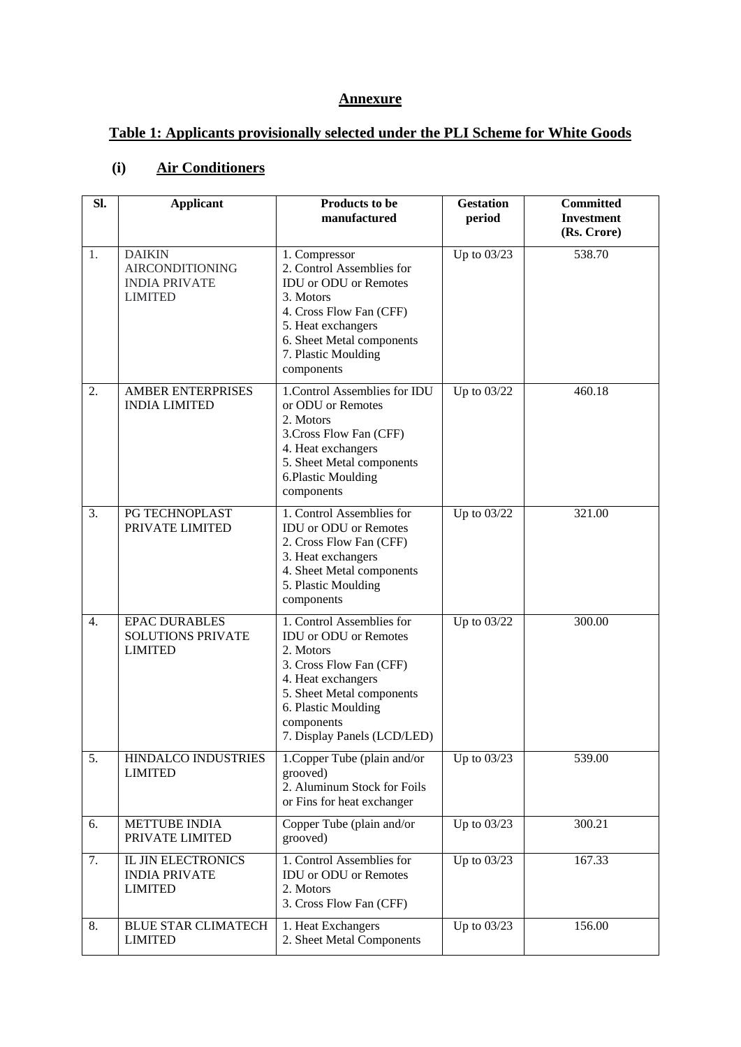#### **Annexure**

# **Table 1: Applicants provisionally selected under the PLI Scheme for White Goods**

### **(i) Air Conditioners**

| SI.              | <b>Applicant</b>                                                                  | Products to be<br>manufactured                                                                                                                                                                                           | <b>Gestation</b><br>period | <b>Committed</b><br><b>Investment</b><br>(Rs. Crore) |
|------------------|-----------------------------------------------------------------------------------|--------------------------------------------------------------------------------------------------------------------------------------------------------------------------------------------------------------------------|----------------------------|------------------------------------------------------|
| 1.               | <b>DAIKIN</b><br><b>AIRCONDITIONING</b><br><b>INDIA PRIVATE</b><br><b>LIMITED</b> | 1. Compressor<br>2. Control Assemblies for<br><b>IDU</b> or ODU or Remotes<br>3. Motors<br>4. Cross Flow Fan (CFF)<br>5. Heat exchangers<br>6. Sheet Metal components<br>7. Plastic Moulding<br>components               | Up to 03/23                | 538.70                                               |
| 2.               | <b>AMBER ENTERPRISES</b><br><b>INDIA LIMITED</b>                                  | 1. Control Assemblies for IDU<br>or ODU or Remotes<br>2. Motors<br>3. Cross Flow Fan (CFF)<br>4. Heat exchangers<br>5. Sheet Metal components<br>6.Plastic Moulding<br>components                                        | Up to 03/22                | 460.18                                               |
| 3.               | PG TECHNOPLAST<br>PRIVATE LIMITED                                                 | 1. Control Assemblies for<br><b>IDU</b> or ODU or Remotes<br>2. Cross Flow Fan (CFF)<br>3. Heat exchangers<br>4. Sheet Metal components<br>5. Plastic Moulding<br>components                                             | Up to $03/22$              | 321.00                                               |
| $\overline{4}$ . | <b>EPAC DURABLES</b><br><b>SOLUTIONS PRIVATE</b><br><b>LIMITED</b>                | 1. Control Assemblies for<br><b>IDU</b> or ODU or Remotes<br>2. Motors<br>3. Cross Flow Fan (CFF)<br>4. Heat exchangers<br>5. Sheet Metal components<br>6. Plastic Moulding<br>components<br>7. Display Panels (LCD/LED) | Up to 03/22                | 300.00                                               |
| 5.               | HINDALCO INDUSTRIES<br><b>LIMITED</b>                                             | 1. Copper Tube (plain and/or<br>grooved)<br>2. Aluminum Stock for Foils<br>or Fins for heat exchanger                                                                                                                    | Up to $03/23$              | 539.00                                               |
| 6.               | <b>METTUBE INDIA</b><br>PRIVATE LIMITED                                           | Copper Tube (plain and/or<br>grooved)                                                                                                                                                                                    | Up to 03/23                | 300.21                                               |
| 7.               | <b>IL JIN ELECTRONICS</b><br><b>INDIA PRIVATE</b><br><b>LIMITED</b>               | 1. Control Assemblies for<br><b>IDU</b> or ODU or Remotes<br>2. Motors<br>3. Cross Flow Fan (CFF)                                                                                                                        | Up to 03/23                | 167.33                                               |
| 8.               | <b>BLUE STAR CLIMATECH</b><br><b>LIMITED</b>                                      | 1. Heat Exchangers<br>2. Sheet Metal Components                                                                                                                                                                          | Up to 03/23                | 156.00                                               |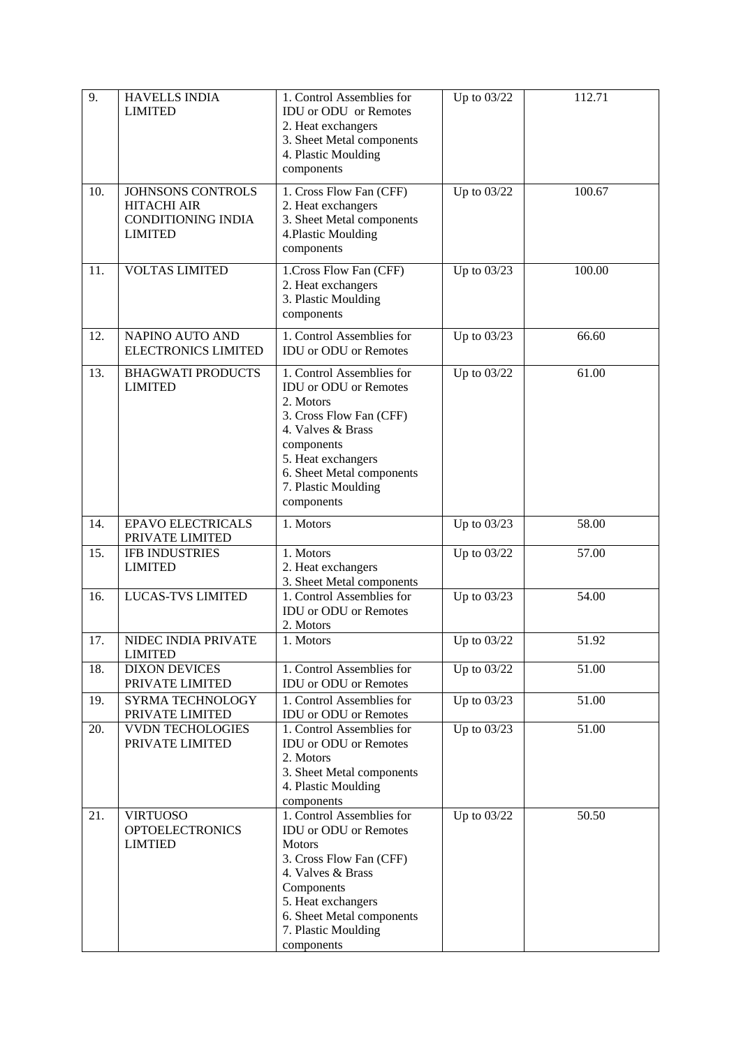| 9.  | <b>HAVELLS INDIA</b><br><b>LIMITED</b>                                                 | 1. Control Assemblies for<br><b>IDU</b> or ODU or Remotes<br>2. Heat exchangers<br>3. Sheet Metal components<br>4. Plastic Moulding<br>components                                                                                | Up to 03/22 | 112.71 |
|-----|----------------------------------------------------------------------------------------|----------------------------------------------------------------------------------------------------------------------------------------------------------------------------------------------------------------------------------|-------------|--------|
| 10. | JOHNSONS CONTROLS<br><b>HITACHI AIR</b><br><b>CONDITIONING INDIA</b><br><b>LIMITED</b> | 1. Cross Flow Fan (CFF)<br>2. Heat exchangers<br>3. Sheet Metal components<br>4. Plastic Moulding<br>components                                                                                                                  | Up to 03/22 | 100.67 |
| 11. | <b>VOLTAS LIMITED</b>                                                                  | 1. Cross Flow Fan (CFF)<br>2. Heat exchangers<br>3. Plastic Moulding<br>components                                                                                                                                               | Up to 03/23 | 100.00 |
| 12. | NAPINO AUTO AND<br><b>ELECTRONICS LIMITED</b>                                          | 1. Control Assemblies for<br><b>IDU</b> or ODU or Remotes                                                                                                                                                                        | Up to 03/23 | 66.60  |
| 13. | <b>BHAGWATI PRODUCTS</b><br><b>LIMITED</b>                                             | 1. Control Assemblies for<br><b>IDU</b> or ODU or Remotes<br>2. Motors<br>3. Cross Flow Fan (CFF)<br>4. Valves & Brass<br>components<br>5. Heat exchangers<br>6. Sheet Metal components<br>7. Plastic Moulding<br>components     | Up to 03/22 | 61.00  |
| 14. | <b>EPAVO ELECTRICALS</b><br>PRIVATE LIMITED                                            | 1. Motors                                                                                                                                                                                                                        | Up to 03/23 | 58.00  |
| 15. | <b>IFB INDUSTRIES</b><br><b>LIMITED</b>                                                | 1. Motors<br>2. Heat exchangers<br>3. Sheet Metal components                                                                                                                                                                     | Up to 03/22 | 57.00  |
| 16. | <b>LUCAS-TVS LIMITED</b>                                                               | 1. Control Assemblies for<br><b>IDU</b> or ODU or Remotes<br>2. Motors                                                                                                                                                           | Up to 03/23 | 54.00  |
| 17. | NIDEC INDIA PRIVATE<br><b>LIMITED</b>                                                  | 1. Motors                                                                                                                                                                                                                        | Up to 03/22 | 51.92  |
| 18. | <b>DIXON DEVICES</b><br>PRIVATE LIMITED                                                | 1. Control Assemblies for<br><b>IDU</b> or ODU or Remotes                                                                                                                                                                        | Up to 03/22 | 51.00  |
| 19. | SYRMA TECHNOLOGY<br>PRIVATE LIMITED                                                    | 1. Control Assemblies for<br><b>IDU</b> or ODU or Remotes                                                                                                                                                                        | Up to 03/23 | 51.00  |
| 20. | <b>VVDN TECHOLOGIES</b><br>PRIVATE LIMITED                                             | 1. Control Assemblies for<br><b>IDU</b> or ODU or Remotes<br>2. Motors<br>3. Sheet Metal components<br>4. Plastic Moulding<br>components                                                                                         | Up to 03/23 | 51.00  |
| 21. | <b>VIRTUOSO</b><br><b>OPTOELECTRONICS</b><br><b>LIMTIED</b>                            | 1. Control Assemblies for<br><b>IDU</b> or ODU or Remotes<br><b>Motors</b><br>3. Cross Flow Fan (CFF)<br>4. Valves & Brass<br>Components<br>5. Heat exchangers<br>6. Sheet Metal components<br>7. Plastic Moulding<br>components | Up to 03/22 | 50.50  |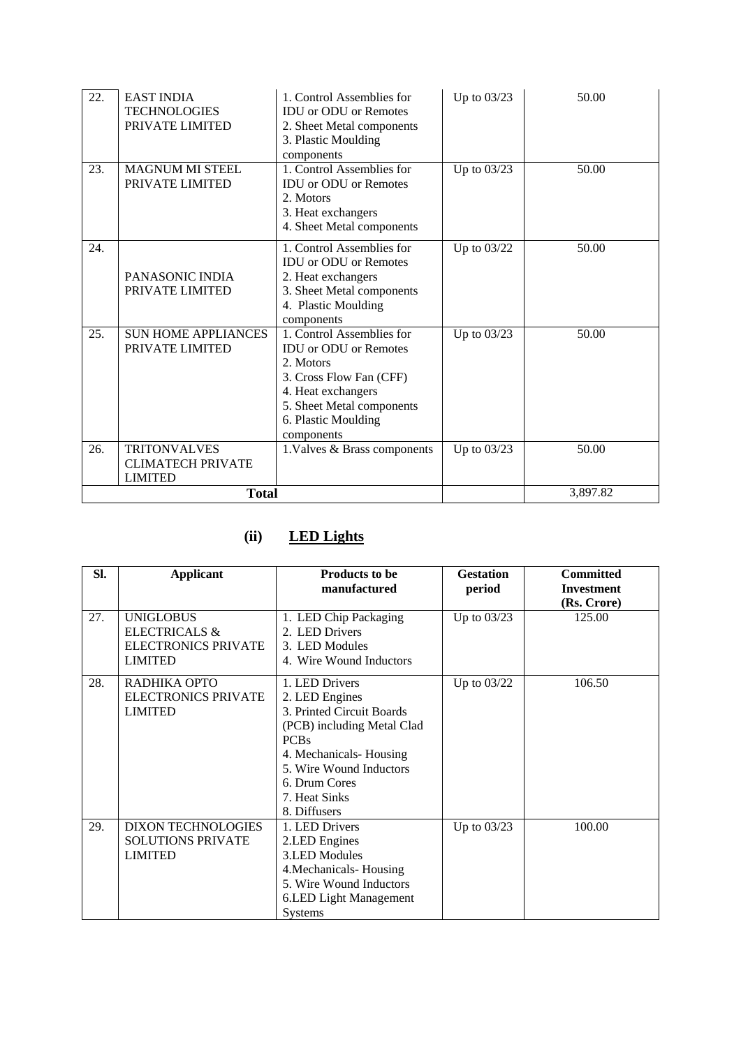| 22. | <b>EAST INDIA</b><br><b>TECHNOLOGIES</b><br>PRIVATE LIMITED       | 1. Control Assemblies for<br><b>IDU</b> or ODU or Remotes<br>2. Sheet Metal components<br>3. Plastic Moulding<br>components                                                               | Up to 03/23 | 50.00    |
|-----|-------------------------------------------------------------------|-------------------------------------------------------------------------------------------------------------------------------------------------------------------------------------------|-------------|----------|
| 23. | <b>MAGNUM MI STEEL</b><br>PRIVATE LIMITED                         | 1. Control Assemblies for<br><b>IDU</b> or ODU or Remotes<br>2. Motors<br>3. Heat exchangers<br>4. Sheet Metal components                                                                 | Up to 03/23 | 50.00    |
| 24. | PANASONIC INDIA<br>PRIVATE LIMITED                                | 1. Control Assemblies for<br><b>IDU</b> or ODU or Remotes<br>2. Heat exchangers<br>3. Sheet Metal components<br>4. Plastic Moulding<br>components                                         | Up to 03/22 | 50.00    |
| 25. | <b>SUN HOME APPLIANCES</b><br>PRIVATE LIMITED                     | 1. Control Assemblies for<br><b>IDU</b> or ODU or Remotes<br>2. Motors<br>3. Cross Flow Fan (CFF)<br>4. Heat exchangers<br>5. Sheet Metal components<br>6. Plastic Moulding<br>components | Up to 03/23 | 50.00    |
| 26. | <b>TRITONVALVES</b><br><b>CLIMATECH PRIVATE</b><br><b>LIMITED</b> | 1. Valves & Brass components                                                                                                                                                              | Up to 03/23 | 50.00    |
|     | <b>Total</b>                                                      |                                                                                                                                                                                           |             | 3,897.82 |

### **(ii) LED Lights**

| SI. | <b>Applicant</b>                                                                             | <b>Products to be</b><br>manufactured                                                                                                                                                                             | <b>Gestation</b><br>period | <b>Committed</b><br><b>Investment</b><br>(Rs. Crore) |
|-----|----------------------------------------------------------------------------------------------|-------------------------------------------------------------------------------------------------------------------------------------------------------------------------------------------------------------------|----------------------------|------------------------------------------------------|
| 27. | <b>UNIGLOBUS</b><br><b>ELECTRICALS &amp;</b><br><b>ELECTRONICS PRIVATE</b><br><b>LIMITED</b> | 1. LED Chip Packaging<br>2. LED Drivers<br>3. LED Modules<br>4. Wire Wound Inductors                                                                                                                              | Up to 03/23                | 125.00                                               |
| 28. | RADHIKA OPTO<br><b>ELECTRONICS PRIVATE</b><br><b>LIMITED</b>                                 | 1. LED Drivers<br>2. LED Engines<br>3. Printed Circuit Boards<br>(PCB) including Metal Clad<br><b>PCBs</b><br>4. Mechanicals-Housing<br>5. Wire Wound Inductors<br>6. Drum Cores<br>7. Heat Sinks<br>8. Diffusers | Up to 03/22                | 106.50                                               |
| 29. | <b>DIXON TECHNOLOGIES</b><br><b>SOLUTIONS PRIVATE</b><br><b>LIMITED</b>                      | 1. LED Drivers<br>2.LED Engines<br><b>3.LED Modules</b><br>4. Mechanicals-Housing<br>5. Wire Wound Inductors<br>6.LED Light Management<br><b>Systems</b>                                                          | Up to $03/23$              | 100.00                                               |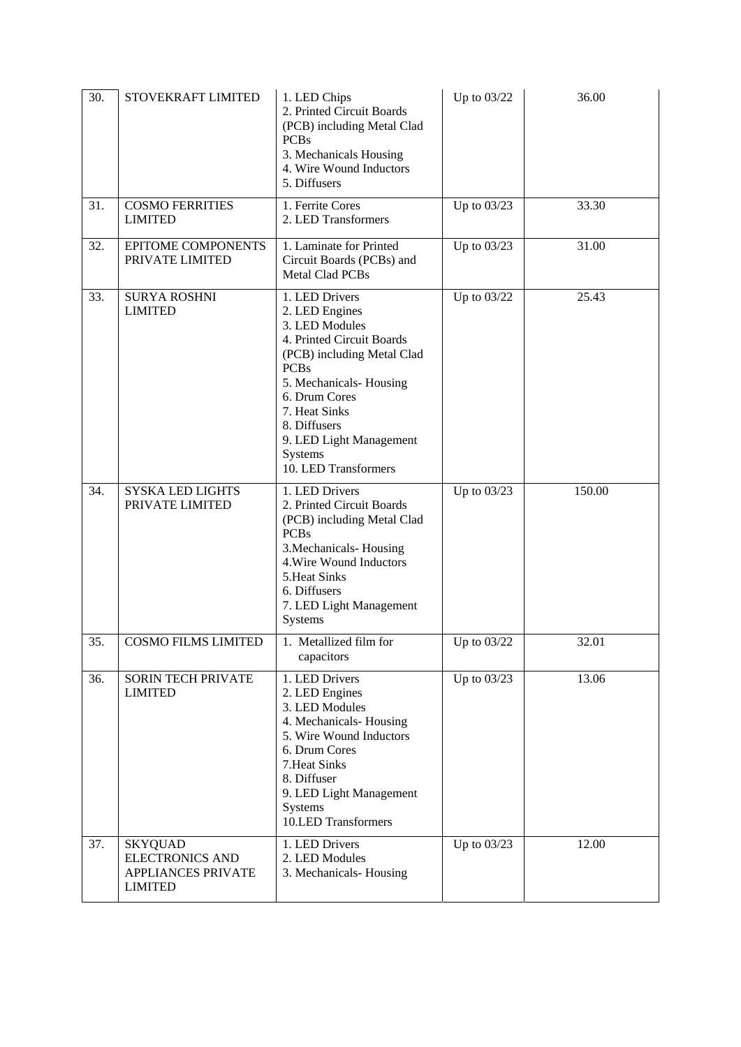| 30. | STOVEKRAFT LIMITED                                                                      | 1. LED Chips<br>2. Printed Circuit Boards<br>(PCB) including Metal Clad<br><b>PCBs</b><br>3. Mechanicals Housing<br>4. Wire Wound Inductors<br>5. Diffusers                                                                                                            | Up to 03/22   | 36.00  |
|-----|-----------------------------------------------------------------------------------------|------------------------------------------------------------------------------------------------------------------------------------------------------------------------------------------------------------------------------------------------------------------------|---------------|--------|
| 31. | <b>COSMO FERRITIES</b><br><b>LIMITED</b>                                                | 1. Ferrite Cores<br>2. LED Transformers                                                                                                                                                                                                                                | Up to 03/23   | 33.30  |
| 32. | EPITOME COMPONENTS<br>PRIVATE LIMITED                                                   | 1. Laminate for Printed<br>Circuit Boards (PCBs) and<br>Metal Clad PCBs                                                                                                                                                                                                | Up to 03/23   | 31.00  |
| 33. | <b>SURYA ROSHNI</b><br><b>LIMITED</b>                                                   | 1. LED Drivers<br>2. LED Engines<br>3. LED Modules<br>4. Printed Circuit Boards<br>(PCB) including Metal Clad<br><b>PCBs</b><br>5. Mechanicals-Housing<br>6. Drum Cores<br>7. Heat Sinks<br>8. Diffusers<br>9. LED Light Management<br>Systems<br>10. LED Transformers | Up to 03/22   | 25.43  |
| 34. | SYSKA LED LIGHTS<br>PRIVATE LIMITED                                                     | 1. LED Drivers<br>2. Printed Circuit Boards<br>(PCB) including Metal Clad<br><b>PCBs</b><br>3. Mechanicals-Housing<br>4. Wire Wound Inductors<br>5. Heat Sinks<br>6. Diffusers<br>7. LED Light Management<br>Systems                                                   | Up to 03/23   | 150.00 |
| 35. | <b>COSMO FILMS LIMITED</b>                                                              | 1. Metallized film for<br>capacitors                                                                                                                                                                                                                                   | Up to $03/22$ | 32.01  |
| 36. | <b>SORIN TECH PRIVATE</b><br><b>LIMITED</b>                                             | 1. LED Drivers<br>2. LED Engines<br>3. LED Modules<br>4. Mechanicals-Housing<br>5. Wire Wound Inductors<br>6. Drum Cores<br>7. Heat Sinks<br>8. Diffuser<br>9. LED Light Management<br>Systems<br>10.LED Transformers                                                  | Up to 03/23   | 13.06  |
| 37. | <b>SKYQUAD</b><br><b>ELECTRONICS AND</b><br><b>APPLIANCES PRIVATE</b><br><b>LIMITED</b> | 1. LED Drivers<br>2. LED Modules<br>3. Mechanicals-Housing                                                                                                                                                                                                             | Up to $03/23$ | 12.00  |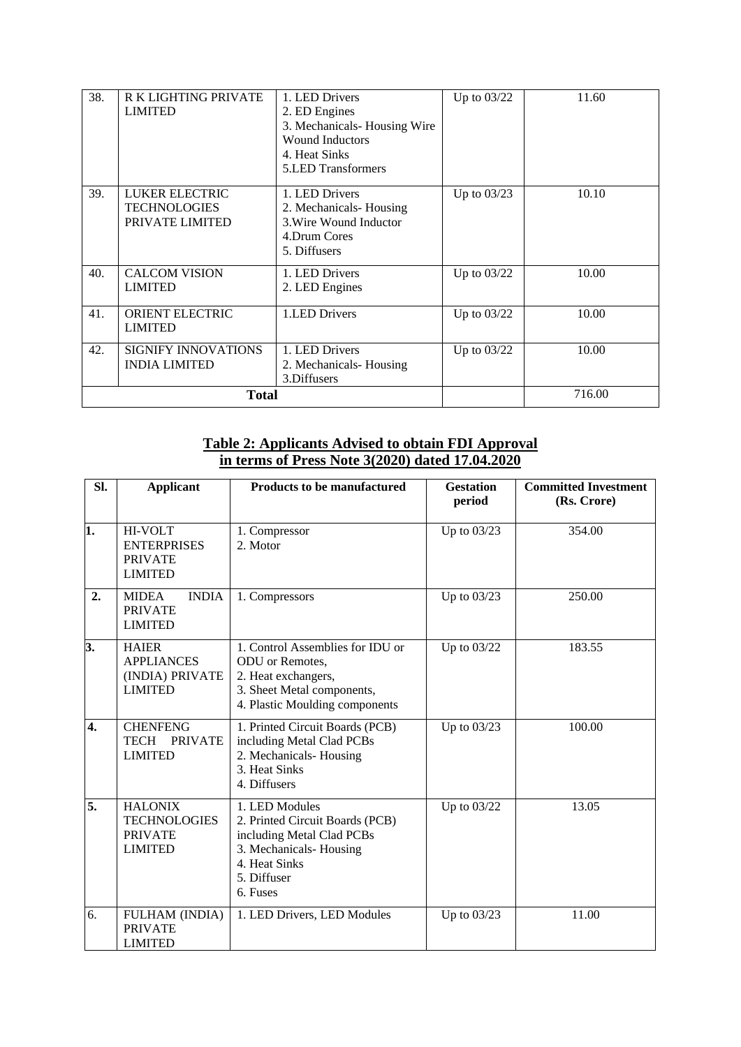| 38. | <b>R K LIGHTING PRIVATE</b><br><b>LIMITED</b>            | 1. LED Drivers<br>2. ED Engines<br>3. Mechanicals-Housing Wire<br><b>Wound Inductors</b><br>4. Heat Sinks<br><b>5.LED Transformers</b> | Up to 03/22   | 11.60  |
|-----|----------------------------------------------------------|----------------------------------------------------------------------------------------------------------------------------------------|---------------|--------|
| 39. | LUKER ELECTRIC<br><b>TECHNOLOGIES</b><br>PRIVATE LIMITED | 1. LED Drivers<br>2. Mechanicals-Housing<br>3. Wire Wound Inductor<br>4.Drum Cores<br>5. Diffusers                                     | Up to $03/23$ | 10.10  |
| 40. | <b>CALCOM VISION</b><br><b>LIMITED</b>                   | 1. LED Drivers<br>2. LED Engines                                                                                                       | Up to 03/22   | 10.00  |
| 41. | <b>ORIENT ELECTRIC</b><br><b>LIMITED</b>                 | 1.LED Drivers                                                                                                                          | Up to $03/22$ | 10.00  |
| 42. | <b>SIGNIFY INNOVATIONS</b><br><b>INDIA LIMITED</b>       | 1. LED Drivers<br>2. Mechanicals-Housing<br>3.Diffusers                                                                                | Up to $03/22$ | 10.00  |
|     | <b>Total</b>                                             |                                                                                                                                        |               | 716.00 |

#### **Table 2: Applicants Advised to obtain FDI Approval in terms of Press Note 3(2020) dated 17.04.2020**

| SI.              | <b>Applicant</b>                                                          | <b>Products to be manufactured</b>                                                                                                                   | <b>Gestation</b><br>period | <b>Committed Investment</b><br>(Rs. Crore) |
|------------------|---------------------------------------------------------------------------|------------------------------------------------------------------------------------------------------------------------------------------------------|----------------------------|--------------------------------------------|
| ī.               | <b>HI-VOLT</b><br><b>ENTERPRISES</b><br><b>PRIVATE</b><br><b>LIMITED</b>  | 1. Compressor<br>2. Motor                                                                                                                            | Up to 03/23                | 354.00                                     |
| 2.               | <b>INDIA</b><br><b>MIDEA</b><br><b>PRIVATE</b><br><b>LIMITED</b>          | 1. Compressors                                                                                                                                       | Up to 03/23                | 250.00                                     |
| 3.               | <b>HAIER</b><br><b>APPLIANCES</b><br>(INDIA) PRIVATE<br><b>LIMITED</b>    | 1. Control Assemblies for IDU or<br>ODU or Remotes,<br>2. Heat exchangers,<br>3. Sheet Metal components,<br>4. Plastic Moulding components           | Up to 03/22                | 183.55                                     |
| $\overline{4}$ . | <b>CHENFENG</b><br>TECH PRIVATE<br><b>LIMITED</b>                         | 1. Printed Circuit Boards (PCB)<br>including Metal Clad PCBs<br>2. Mechanicals-Housing<br>3. Heat Sinks<br>4. Diffusers                              | Up to 03/23                | 100.00                                     |
| 5.               | <b>HALONIX</b><br><b>TECHNOLOGIES</b><br><b>PRIVATE</b><br><b>LIMITED</b> | 1. LED Modules<br>2. Printed Circuit Boards (PCB)<br>including Metal Clad PCBs<br>3. Mechanicals-Housing<br>4. Heat Sinks<br>5. Diffuser<br>6. Fuses | Up to 03/22                | 13.05                                      |
| 6.               | FULHAM (INDIA)<br><b>PRIVATE</b><br><b>LIMITED</b>                        | 1. LED Drivers, LED Modules                                                                                                                          | Up to 03/23                | 11.00                                      |